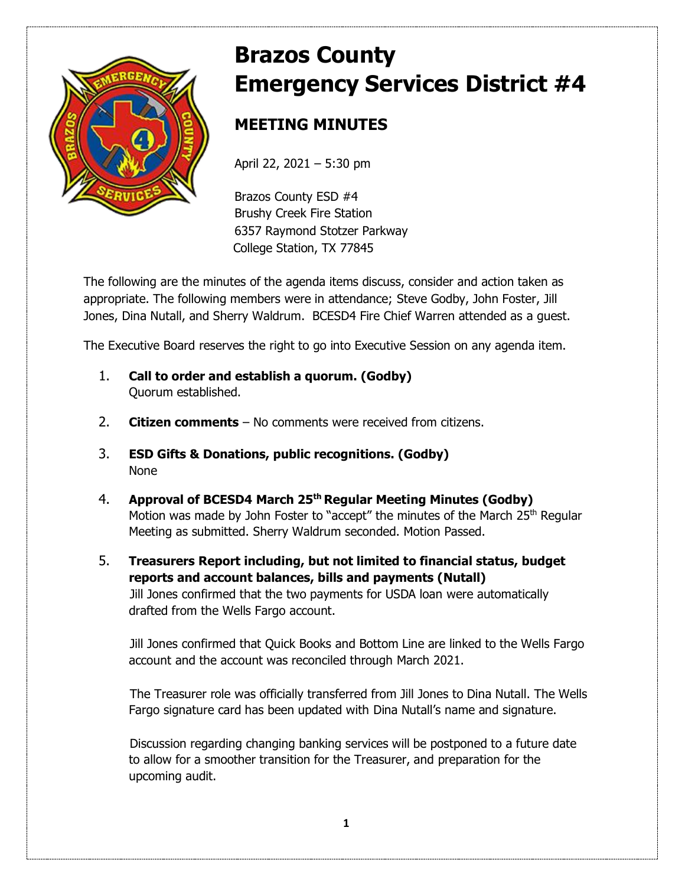

# **Brazos County Emergency Services District #4**

## **MEETING MINUTES**

April 22, 2021 – 5:30 pm

Brazos County ESD #4 Brushy Creek Fire Station 6357 Raymond Stotzer Parkway College Station, TX 77845

The following are the minutes of the agenda items discuss, consider and action taken as appropriate. The following members were in attendance; Steve Godby, John Foster, Jill Jones, Dina Nutall, and Sherry Waldrum. BCESD4 Fire Chief Warren attended as a guest.

The Executive Board reserves the right to go into Executive Session on any agenda item.

- 1. **Call to order and establish a quorum. (Godby)** Quorum established.
- 2. **Citizen comments** No comments were received from citizens.
- 3. **ESD Gifts & Donations, public recognitions. (Godby)** None
- 4. **Approval of BCESD4 March 25th Regular Meeting Minutes (Godby)** Motion was made by John Foster to "accept" the minutes of the March 25<sup>th</sup> Regular Meeting as submitted. Sherry Waldrum seconded. Motion Passed.
- 5. **Treasurers Report including, but not limited to financial status, budget reports and account balances, bills and payments (Nutall)**  Jill Jones confirmed that the two payments for USDA loan were automatically drafted from the Wells Fargo account.

Jill Jones confirmed that Quick Books and Bottom Line are linked to the Wells Fargo account and the account was reconciled through March 2021.

The Treasurer role was officially transferred from Jill Jones to Dina Nutall. The Wells Fargo signature card has been updated with Dina Nutall's name and signature.

Discussion regarding changing banking services will be postponed to a future date to allow for a smoother transition for the Treasurer, and preparation for the upcoming audit.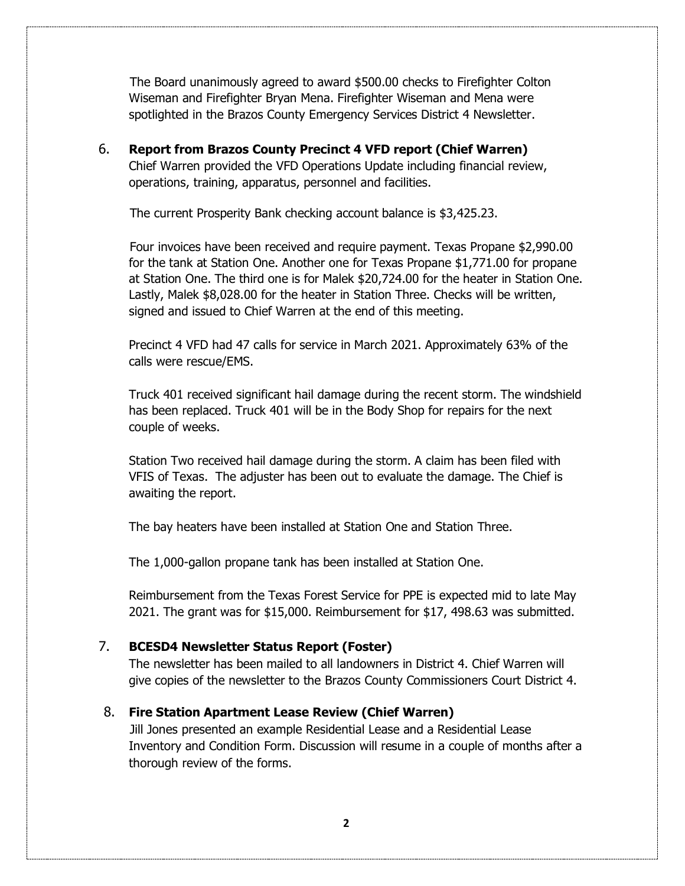The Board unanimously agreed to award \$500.00 checks to Firefighter Colton Wiseman and Firefighter Bryan Mena. Firefighter Wiseman and Mena were spotlighted in the Brazos County Emergency Services District 4 Newsletter.

6. **Report from Brazos County Precinct 4 VFD report (Chief Warren)** Chief Warren provided the VFD Operations Update including financial review, operations, training, apparatus, personnel and facilities.

The current Prosperity Bank checking account balance is \$3,425.23.

 Four invoices have been received and require payment. Texas Propane \$2,990.00 for the tank at Station One. Another one for Texas Propane \$1,771.00 for propane at Station One. The third one is for Malek \$20,724.00 for the heater in Station One. Lastly, Malek \$8,028.00 for the heater in Station Three. Checks will be written, signed and issued to Chief Warren at the end of this meeting.

Precinct 4 VFD had 47 calls for service in March 2021. Approximately 63% of the calls were rescue/EMS.

Truck 401 received significant hail damage during the recent storm. The windshield has been replaced. Truck 401 will be in the Body Shop for repairs for the next couple of weeks.

Station Two received hail damage during the storm. A claim has been filed with VFIS of Texas. The adjuster has been out to evaluate the damage. The Chief is awaiting the report.

The bay heaters have been installed at Station One and Station Three.

The 1,000-gallon propane tank has been installed at Station One.

Reimbursement from the Texas Forest Service for PPE is expected mid to late May 2021. The grant was for \$15,000. Reimbursement for \$17, 498.63 was submitted.

### 7. **BCESD4 Newsletter Status Report (Foster)**

The newsletter has been mailed to all landowners in District 4. Chief Warren will give copies of the newsletter to the Brazos County Commissioners Court District 4.

#### 8. **Fire Station Apartment Lease Review (Chief Warren)**

Jill Jones presented an example Residential Lease and a Residential Lease Inventory and Condition Form. Discussion will resume in a couple of months after a thorough review of the forms.